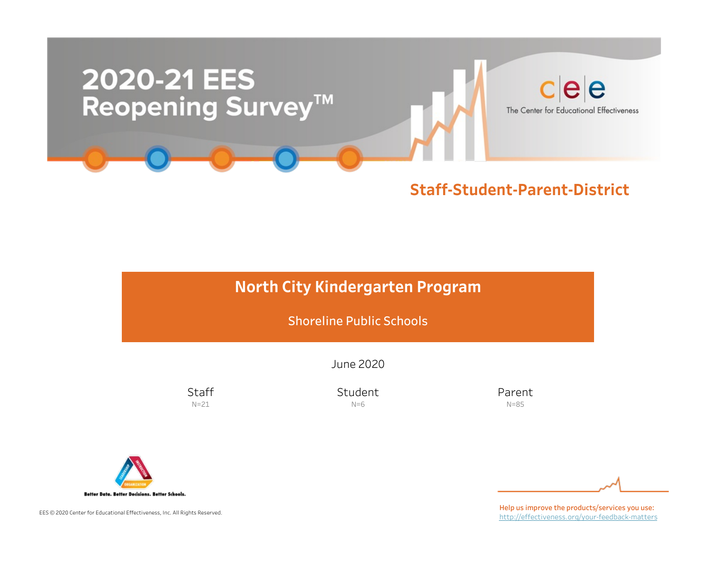

# North City Kindergarten Program

Shoreline Public Schools

June2020

**Staff**  $N=21$ 

Student  $N=6$ 

Parent N=85



EES © 2020 Center for Educational Effectiveness, Inc. All Rights Reserved.

Help us improve the products/services you use: http://effectiveness.org/your-feedback-matters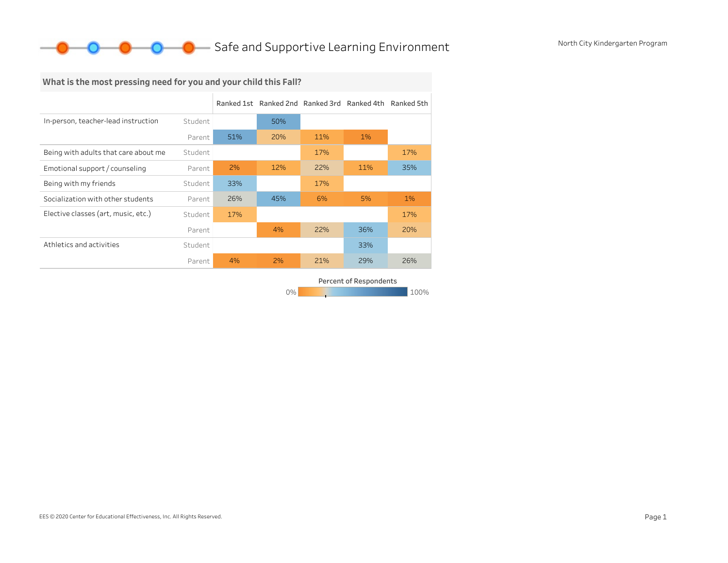## O Safe and Supportive Learning Environment North City Kindergarten Program

# What is the most pressing need for you and your child this Fall?

|                                      |         |     | Ranked 1st Ranked 2nd Ranked 3rd Ranked 4th Ranked 5th |     |     |     |
|--------------------------------------|---------|-----|--------------------------------------------------------|-----|-----|-----|
| In-person, teacher-lead instruction  | Student |     | 50%                                                    |     |     |     |
|                                      | Parent  | 51% | 20%                                                    | 11% | 1%  |     |
| Being with adults that care about me | Student |     |                                                        | 17% |     | 17% |
| Emotional support / counseling       | Parent  | 2%  | 12%                                                    | 22% | 11% | 35% |
| Being with my friends                | Student | 33% |                                                        | 17% |     |     |
| Socialization with other students    | Parent  | 26% | 45%                                                    | 6%  | 5%  | 1%  |
| Elective classes (art, music, etc.)  | Student | 17% |                                                        |     |     | 17% |
|                                      | Parent  |     | 4%                                                     | 22% | 36% | 20% |
| Athletics and activities             | Student |     |                                                        |     | 33% |     |
|                                      | Parent  | 4%  | 2%                                                     | 21% | 29% | 26% |

0% 100% 100% 100% 100% Percent of Respondents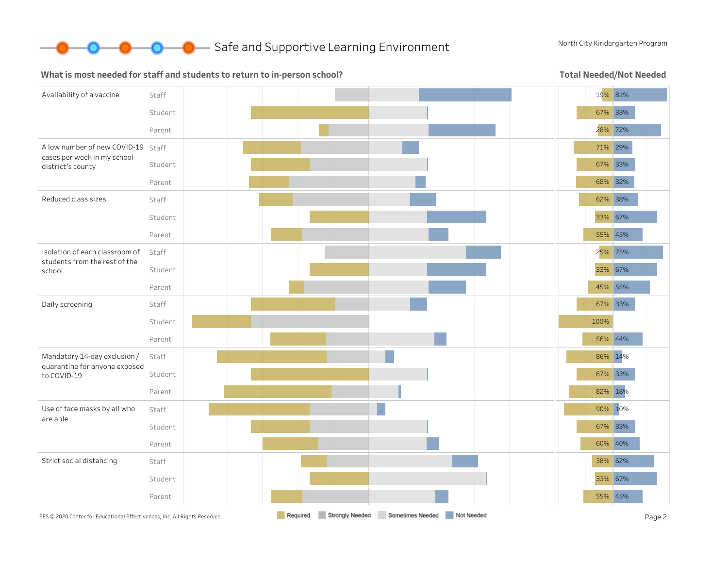

#### What is most needed for staff and students to return to in-person school?

Total Needed/Not Needed

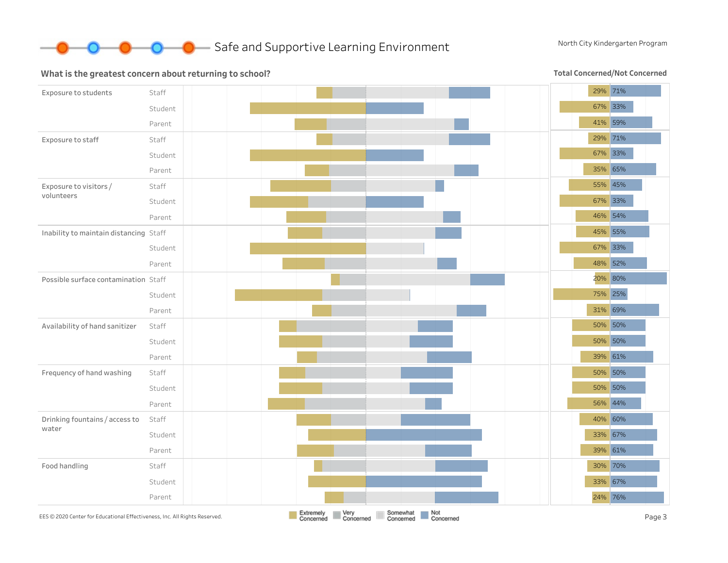

#### Exposure to students Staff Student Parent Exposure to staff Staff Student Parent Exposure to visitors/ volunteers Staff Student Parent Inability to maintain distancing Staff Student Parent Possible surface contamination Staff Student Parent Availability of hand sanitizer Staff Student Parent Frequency of hand washing Staff Student Parent Drinking fountains / access to water Staff Student Parent Food handling Staff Student Parent 29% 71% 67% 33% 41% 59% 29% 71% 67% 33% 35% 65% 55% 45% 67% 33% 46% 54% 45% 55% 67% 33% 48% 52% 20% 80% 75% 25% 31% 69% 50% 50% 50% 50% 39% 61% 50% 50% 50% 50% 56% 44% 40% 60% 33% 67% 39% 61% 30% 70% 33% 67% 24% 76% EES©2020 Center for Educational Effectiveness, Inc. All Rights Reserved. **Page 3 Extremely Extremely Page 2 Page 3 Concerned Concerned Concerned Concerned Concerned Concerned Concerned Concerned**

What is the greatest concern about returning to school?

Total Concerned/Not Concerned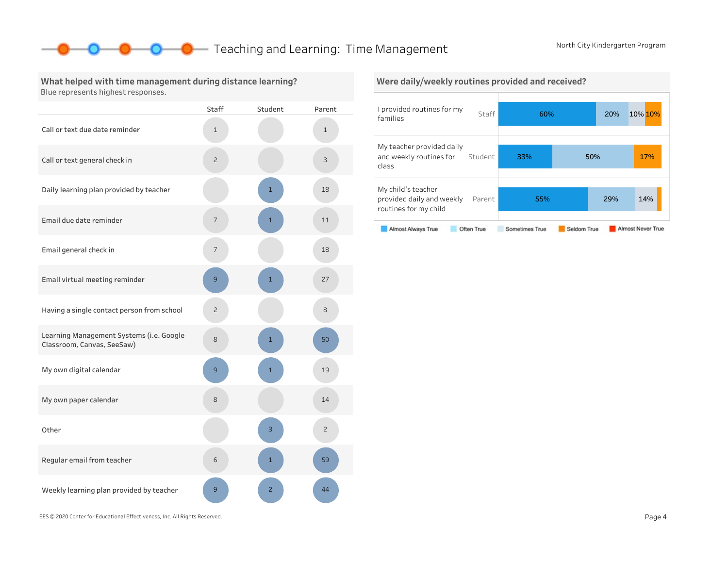### **O** Teaching and Learning: Time Management North City Kindergarten Program

What helped with time management during distance learning? Blue represents highest responses.

|                                                                        | <b>Staff</b>   | Student        | Parent         |
|------------------------------------------------------------------------|----------------|----------------|----------------|
| Call or text due date reminder                                         | 1              |                | $\mathbf 1$    |
| Call or text general check in                                          | $\overline{c}$ |                | 3              |
| Daily learning plan provided by teacher                                |                | $\overline{1}$ | 18             |
| Email due date reminder                                                | $\overline{7}$ | $\mathbf{1}$   | 11             |
| Email general check in                                                 | 7              |                | 18             |
| Email virtual meeting reminder                                         | 9              | $\mathbf{1}$   | 27             |
| Having a single contact person from school                             | $\overline{c}$ |                | 8              |
| Learning Management Systems (i.e. Google<br>Classroom, Canvas, SeeSaw) | 8              | $\mathbf{1}$   | 50             |
| My own digital calendar                                                | 9              | $\mathbf{1}$   | 19             |
| My own paper calendar                                                  | 8              |                | 14             |
| Other                                                                  |                | 3              | $\overline{c}$ |
| Regular email from teacher                                             | 6              | $\mathbf{1}$   | 59             |
| Weekly learning plan provided by teacher                               | 9              | $\overline{2}$ | 44             |





EES©2020CenterforEducationalEffectiveness,Inc.AllRightsReserved. Page4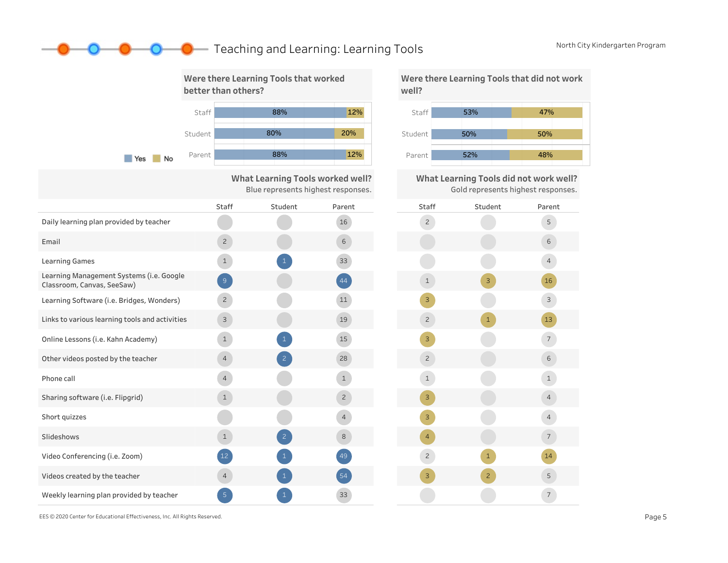### **O** Teaching and Learning: Learning Tools North City Kindergarten Program



Were there Learning Tools that did not work



What Learning Tools did not work well? Gold represents highest responses.



EES © 2020 Center for Educational Effectiveness, Inc. All Rights Reserved. **Page 5** Page 5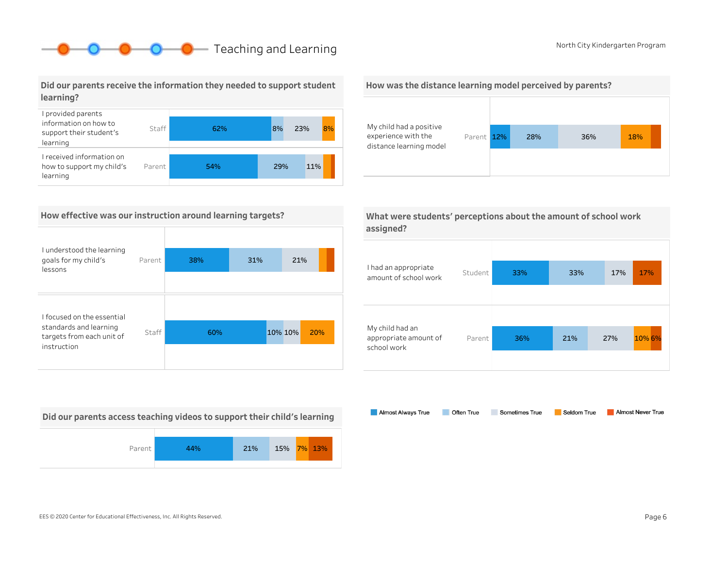# **O** Roth City Kindergarten Program

Did our parents receive the information they needed to support student learning?



#### How effective was our instruction around learning targets?

| I understood the learning<br>goals for my child's<br>lessons       | Parent | 38% | 31% | 21%            |  |
|--------------------------------------------------------------------|--------|-----|-----|----------------|--|
| I focused on the essential                                         |        |     |     |                |  |
| standards and learning<br>targets from each unit of<br>instruction | Staff  | 60% |     | 10% 10%<br>20% |  |

Did our parents access teaching videos to support their child's learning







| What were students' perceptions about the amount of school work |  |
|-----------------------------------------------------------------|--|
| assigned?                                                       |  |

| I had an appropriate<br>amount of school work           | Student | 33% | 33% | 17% | 17%    |
|---------------------------------------------------------|---------|-----|-----|-----|--------|
| My child had an<br>appropriate amount of<br>school work | Parent  | 36% | 21% | 27% | 10% 6% |

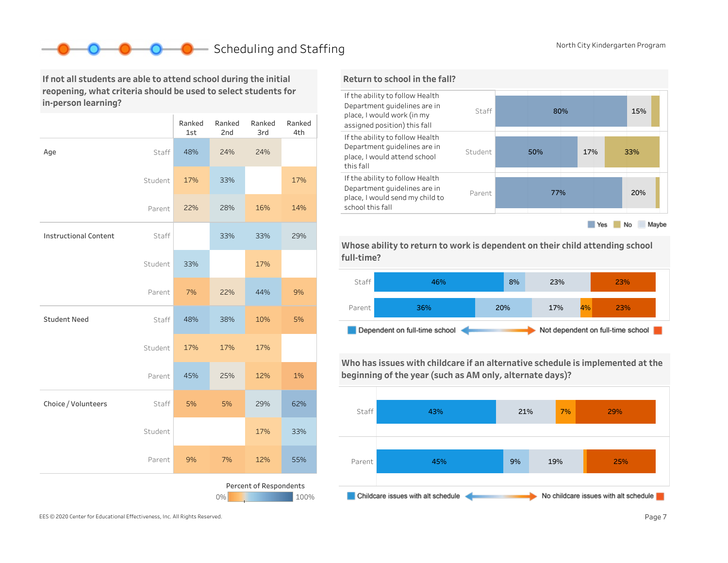# Scheduling and Staffing North City Kindergarten Program

If not all students are able to attend school during the initial reopening, what criteria should be used to select students for in-person learning?

|                                      |         | Ranked<br>1st | Ranked<br>2nd | Ranked<br>3rd | Ranked<br>4th |
|--------------------------------------|---------|---------------|---------------|---------------|---------------|
| Age                                  | Staff   | 48%           | 24%           | 24%           |               |
|                                      | Student | 17%           | 33%           |               | 17%           |
|                                      | Parent  | 22%           | 28%           | 16%           | 14%           |
| <b>Instructional Content</b>         | Staff   |               | 33%           | 33%           | 29%           |
|                                      | Student | 33%           |               | 17%           |               |
|                                      | Parent  | 7%            | 22%           | 44%           | 9%            |
| <b>Student Need</b>                  | Staff   | 48%           | 38%           | 10%           | 5%            |
|                                      | Student | 17%           | 17%           | 17%           |               |
|                                      | Parent  | 45%           | 25%           | 12%           | 1%            |
| Choice / Volunteers                  | Staff   | 5%            | 5%            | 29%           | 62%           |
|                                      | Student |               |               | 17%           | 33%           |
|                                      | Parent  | 9%            | 7%            | 12%           | 55%           |
| Percent of Respondents<br>0%<br>100% |         |               |               |               |               |

#### Return to school in the fall?



Whose ability to return to work is dependent on their child attending school full-time?



Who has issues with childcare if an alternative schedule is implemented at the beginning of the year (such as AM only, alternate days)?



EES © 2020 Center for Educational Effectiveness, Inc. All Rights Reserved. **Page 7** Page 7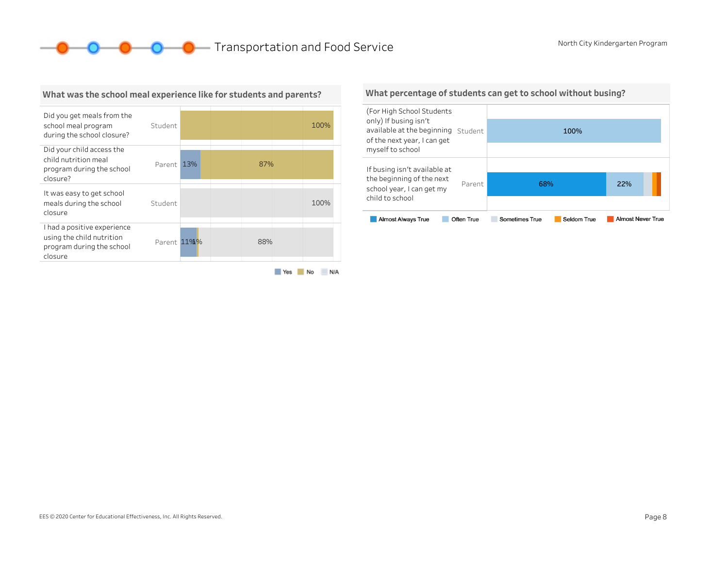**O** O Transportation and Food Service North City Kindergarten Program



#### What was the school meal experience like for students and parents?

#### What percentage of students can get to school without busing?

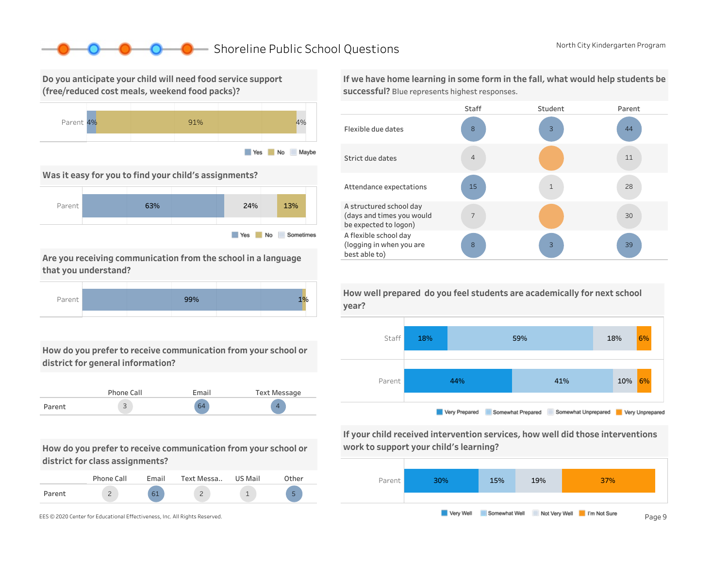### ■ Shoreline Public School Questions North City Kindergarten Program

Do you anticipate your child will need food service support (free/reduced cost meals, weekend food packs)?



Was it easy for you to find your child's assignments?



Are you receiving communication from the school in a language that you understand?



How do you prefer to receive communication from your school or district for general information?

|        | Phone Call | Email | Text Message |
|--------|------------|-------|--------------|
| Parent | ت          | 64    |              |

How do you prefer to receive communication from your school or district for class assignments?

|        | Phone Call | Email | Text Messa | US Mail | <b>Other</b> |
|--------|------------|-------|------------|---------|--------------|
| Parent |            | 61    | ∽<br>-     |         | -            |

If we have home learning in some form in the fall, what would help students be successful? Blue represents highest responses.





If your child received intervention services, how well did those interventions work to support your child's learning?



How well prepared do you feel students are academically for next school year?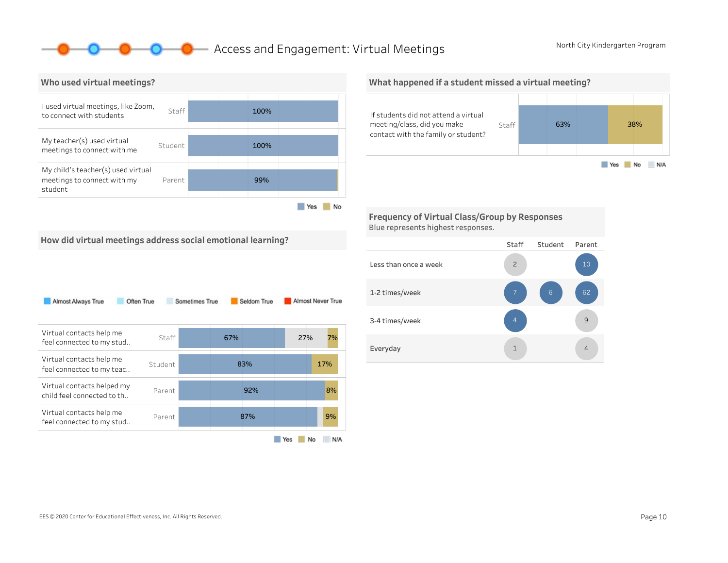Yes No N/A

Staff 63% 88%

### **O** Access and Engagement: Virtual Meetings North City Kindergarten Program



## If students did not attend a virtual meeting/class, did you make What happened if a student missed a virtual meeting?

Frequency of Virtual Class/Group by Responses Blue represents highest responses.

contact with the family or student?

How did virtual meetings address social emotional learning?

| Almost Always True<br>Often True                         |         | Sometimes True |     | Seldom True |     |     | Almost Never True |
|----------------------------------------------------------|---------|----------------|-----|-------------|-----|-----|-------------------|
| Virtual contacts help me<br>feel connected to my stud    | Staff   |                | 67% |             |     | 27% | 7%                |
| Virtual contacts help me<br>feel connected to my teac    | Student |                |     | 83%         |     |     | 17%               |
| Virtual contacts helped my<br>child feel connected to th | Parent  |                |     | 92%         |     |     | 8%                |
| Virtual contacts help me<br>feel connected to my stud    | Parent  |                |     | 87%         |     |     | 9%                |
|                                                          |         |                |     |             | Yes | No  | N/A               |

#### Staff Student Parent Lessthanonceaweek 1-2times/week 3-4times/week Everyday **4** and 4 and 4 and 4 and 4 and 4 and 4 and 4 and 4 and 4 and 4 and 4 and 4 and 4 and 4 and 4 and 4 and 4 and 4 and 4 and 4 and 4 and 4 and 4 and 4 and 4 and 4 and 4 and 4 and 4 and 4 and 4 and 4 and 4 and 4 and 4 9 1 4 7 2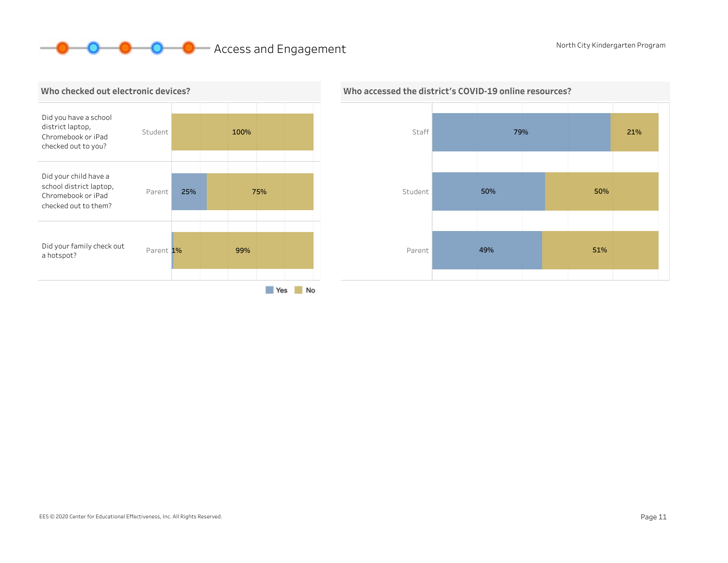# **OCOO** Access and Engagement North City Kindergarten Program





### Who accessed the district's COVID-19 online resources?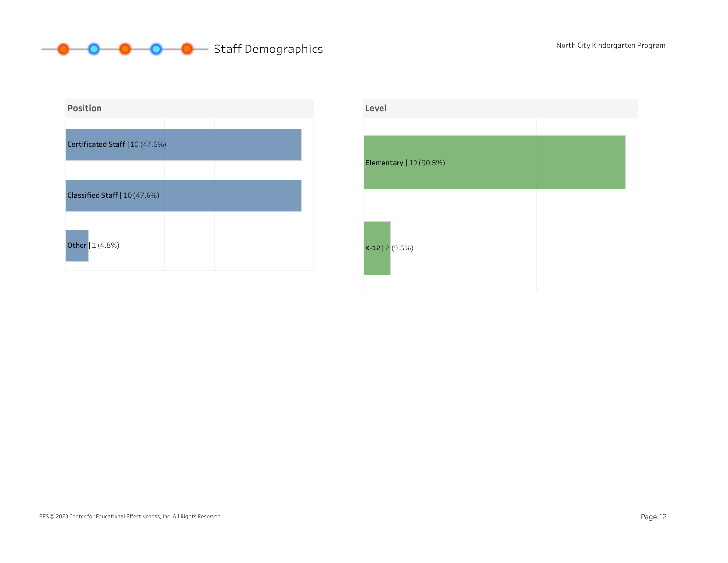



| Level                   |  |  |
|-------------------------|--|--|
|                         |  |  |
| Elementary   19 (90.5%) |  |  |
| $K-12$   2 (9.5%)       |  |  |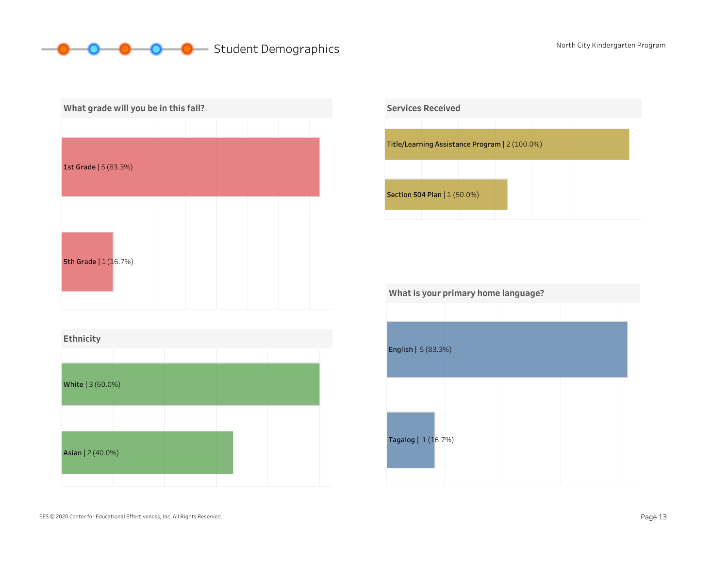# O O Student Demographics North City Kindergarten Program